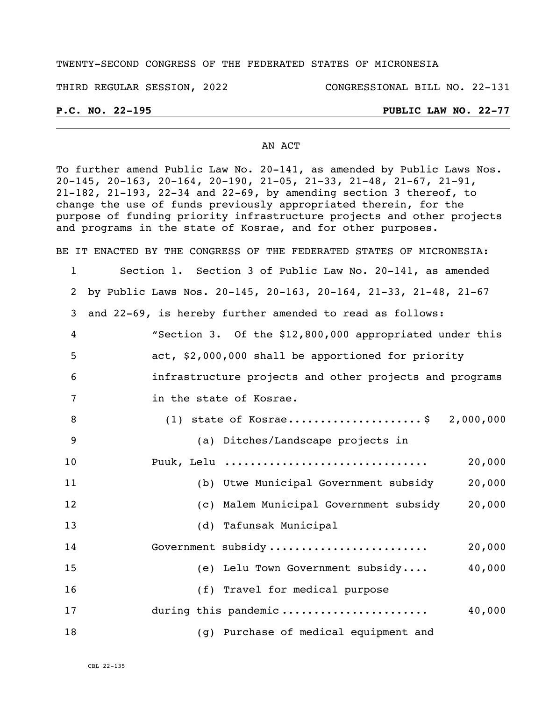#### TWENTY-SECOND CONGRESS OF THE FEDERATED STATES OF MICRONESIA

THIRD REGULAR SESSION, 2022 CONGRESSIONAL BILL NO. 22-131

#### **P.C. NO. 22-195 PUBLIC LAW NO. 22-77**

#### AN ACT

To further amend Public Law No. 20-141, as amended by Public Laws Nos. 20-145, 20-163, 20-164, 20-190, 21-05, 21-33, 21-48, 21-67, 21-91, 21-182, 21-193, 22-34 and 22-69, by amending section 3 thereof, to change the use of funds previously appropriated therein, for the purpose of funding priority infrastructure projects and other projects and programs in the state of Kosrae, and for other purposes.

BE IT ENACTED BY THE CONGRESS OF THE FEDERATED STATES OF MICRONESIA:

 Section 1. Section 3 of Public Law No. 20-141, as amended by Public Laws Nos. 20-145, 20-163, 20-164, 21-33, 21-48, 21-67 and 22-69, is hereby further amended to read as follows: "Section 3. Of the \$12,800,000 appropriated under this act, \$2,000,000 shall be apportioned for priority infrastructure projects and other projects and programs in the state of Kosrae.

| 8   | $(1)$ state of Kosrae\$                | 2,000,000 |
|-----|----------------------------------------|-----------|
| - 9 | (a) Ditches/Landscape projects in      |           |
| 10  | Puuk, Lelu                             | 20,000    |
| 11  | (b) Utwe Municipal Government subsidy  | 20,000    |
| 12  | (c) Malem Municipal Government subsidy | 20,000    |
| 13  | (d) Tafunsak Municipal                 |           |
| 14  | Government subsidy                     | 20,000    |
| 15  | (e) Lelu Town Government subsidy       | 40,000    |
| 16  | (f) Travel for medical purpose         |           |
| 17  | during this pandemic                   | 40,000    |
| 18  | (g) Purchase of medical equipment and  |           |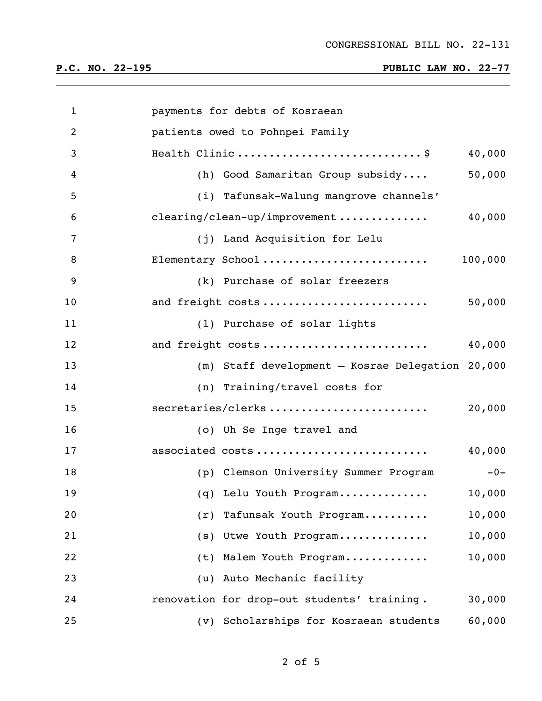| $\mathbf{1}$   | payments for debts of Kosraean                        |
|----------------|-------------------------------------------------------|
| $\overline{2}$ | patients owed to Pohnpei Family                       |
| 3              | Health Clinic \$<br>40,000                            |
| 4              | 50,000<br>(h) Good Samaritan Group subsidy            |
| 5              | (i) Tafunsak-Walung mangrove channels'                |
| 6              | 40,000<br>clearing/clean-up/improvement               |
| 7              | (j) Land Acquisition for Lelu                         |
| 8              | Elementary School<br>100,000                          |
| 9              | (k) Purchase of solar freezers                        |
| 10             | and freight costs<br>50,000                           |
| 11             | (1) Purchase of solar lights                          |
| 12             | and freight costs<br>40,000                           |
| 13             | (m) Staff development - Kosrae Delegation 20,000      |
| 14             | (n) Training/travel costs for                         |
| 15             | secretaries/clerks<br>20,000                          |
| 16             | (o) Uh Se Inge travel and                             |
| 17             | 40,000<br>associated costs                            |
| 18             | $-0-$<br>(p) Clemson University Summer Program        |
| 19             | 10,000<br>(q) Lelu Youth Program                      |
| 20             | 10,000<br>Tafunsak Youth Program<br>(r)               |
| 21             | 10,000<br>Utwe Youth Program<br>(s)                   |
| 22             | 10,000<br>Malem Youth Program<br>(t)                  |
| 23             | Auto Mechanic facility<br>(u)                         |
| 24             | renovation for drop-out students' training.<br>30,000 |
| 25             | 60,000<br>(v) Scholarships for Kosraean students      |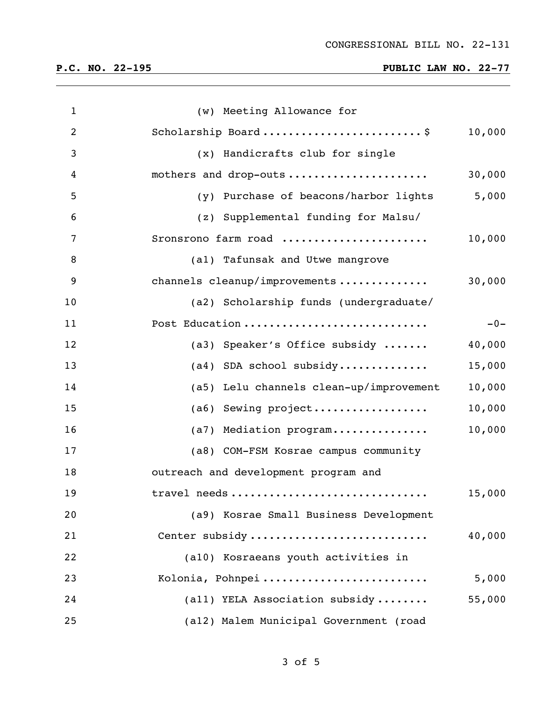| $\mathbf{1}$   | (w) Meeting Allowance for                         |
|----------------|---------------------------------------------------|
| $\overline{2}$ | Scholarship Board\$<br>10,000                     |
| 3              | (x) Handicrafts club for single                   |
| 4              | mothers and drop-outs<br>30,000                   |
| 5              | (y) Purchase of beacons/harbor lights<br>5,000    |
| 6              | (z) Supplemental funding for Malsu/               |
| 7              | Sronsrono farm road<br>10,000                     |
| 8              | (al) Tafunsak and Utwe mangrove                   |
| 9              | channels cleanup/improvements<br>30,000           |
| 10             | (a2) Scholarship funds (undergraduate/            |
| 11             | Post Education<br>$-0-$                           |
| 12             | (a3) Speaker's Office subsidy<br>40,000           |
| 13             | $(a4)$ SDA school subsidy<br>15,000               |
| 14             | (a5) Lelu channels clean-up/improvement<br>10,000 |
| 15             | (a6) Sewing project<br>10,000                     |
| 16             | (a7) Mediation program<br>10,000                  |
| 17             | (a8) COM-FSM Kosrae campus community              |
| 18             | outreach and development program and              |
| 19             | 15,000<br>travel needs                            |
| 20             | (a9) Kosrae Small Business Development            |
| 21             | Center subsidy<br>40,000                          |
| 22             | (a10) Kosraeans youth activities in               |
| 23             | Kolonia, Pohnpei<br>5,000                         |
| 24             | (all) YELA Association subsidy<br>55,000          |
| 25             | (a12) Malem Municipal Government (road            |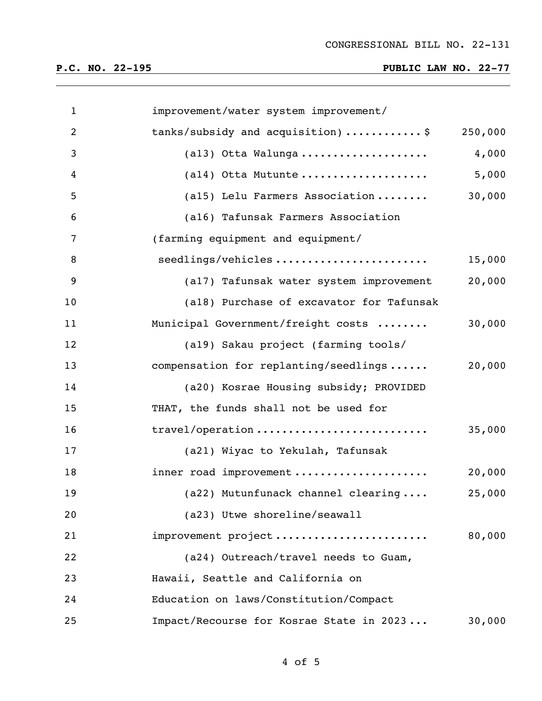| $\mathbf{1}$   | improvement/water system improvement/    |         |
|----------------|------------------------------------------|---------|
| $\overline{2}$ | tanks/subsidy and acquisition)\$         | 250,000 |
| 3              | (al3) Otta Walunga                       | 4,000   |
| 4              | $(al4)$ Otta Mutunte                     | 5,000   |
| 5              | (a15) Lelu Farmers Association           | 30,000  |
| 6              | (a16) Tafunsak Farmers Association       |         |
| $\overline{7}$ | (farming equipment and equipment/        |         |
| 8              | seedlings/vehicles                       | 15,000  |
| 9              | (a17) Tafunsak water system improvement  | 20,000  |
| 10             | (a18) Purchase of excavator for Tafunsak |         |
| 11             | Municipal Government/freight costs       | 30,000  |
| 12             | (a19) Sakau project (farming tools/      |         |
| 13             | compensation for replanting/seedlings    | 20,000  |
| 14             | (a20) Kosrae Housing subsidy; PROVIDED   |         |
| 15             | THAT, the funds shall not be used for    |         |
| 16             | travel/operation                         | 35,000  |
| 17             | (a21) Wiyac to Yekulah, Tafunsak         |         |
| 18             | inner road improvement                   | 20,000  |
| 19             | (a22) Mutunfunack channel clearing       | 25,000  |
| 20             | (a23) Utwe shoreline/seawall             |         |
| 21             | improvement project                      | 80,000  |
| 22             | (a24) Outreach/travel needs to Guam,     |         |
| 23             | Hawaii, Seattle and California on        |         |
| 24             | Education on laws/Constitution/Compact   |         |
| 25             | Impact/Recourse for Kosrae State in 2023 | 30,000  |